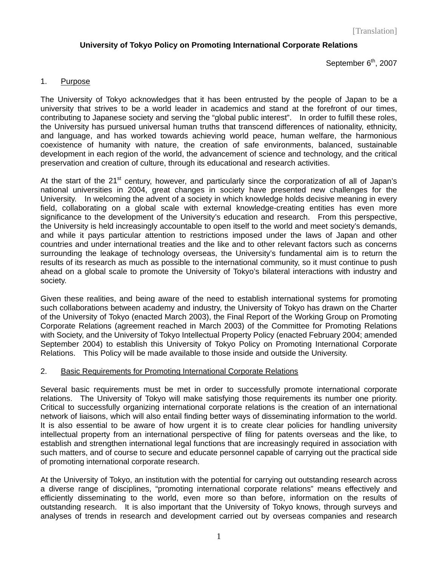# **University of Tokyo Policy on Promoting International Corporate Relations**

September 6<sup>th</sup>, 2007

## 1. Purpose

The University of Tokyo acknowledges that it has been entrusted by the people of Japan to be a university that strives to be a world leader in academics and stand at the forefront of our times, contributing to Japanese society and serving the "global public interest". In order to fulfill these roles, the University has pursued universal human truths that transcend differences of nationality, ethnicity, and language, and has worked towards achieving world peace, human welfare, the harmonious coexistence of humanity with nature, the creation of safe environments, balanced, sustainable development in each region of the world, the advancement of science and technology, and the critical preservation and creation of culture, through its educational and research activities.

At the start of the  $21<sup>st</sup>$  century, however, and particularly since the corporatization of all of Japan's national universities in 2004, great changes in society have presented new challenges for the University. In welcoming the advent of a society in which knowledge holds decisive meaning in every field, collaborating on a global scale with external knowledge-creating entities has even more significance to the development of the University's education and research. From this perspective, the University is held increasingly accountable to open itself to the world and meet society's demands, and while it pays particular attention to restrictions imposed under the laws of Japan and other countries and under international treaties and the like and to other relevant factors such as concerns surrounding the leakage of technology overseas, the University's fundamental aim is to return the results of its research as much as possible to the international community, so it must continue to push ahead on a global scale to promote the University of Tokyo's bilateral interactions with industry and society.

Given these realities, and being aware of the need to establish international systems for promoting such collaborations between academy and industry, the University of Tokyo has drawn on the Charter of the University of Tokyo (enacted March 2003), the Final Report of the Working Group on Promoting Corporate Relations (agreement reached in March 2003) of the Committee for Promoting Relations with Society, and the University of Tokyo Intellectual Property Policy (enacted February 2004; amended September 2004) to establish this University of Tokyo Policy on Promoting International Corporate Relations. This Policy will be made available to those inside and outside the University.

#### 2. Basic Requirements for Promoting International Corporate Relations

Several basic requirements must be met in order to successfully promote international corporate relations. The University of Tokyo will make satisfying those requirements its number one priority. Critical to successfully organizing international corporate relations is the creation of an international network of liaisons, which will also entail finding better ways of disseminating information to the world. It is also essential to be aware of how urgent it is to create clear policies for handling university intellectual property from an international perspective of filing for patents overseas and the like, to establish and strengthen international legal functions that are increasingly required in association with such matters, and of course to secure and educate personnel capable of carrying out the practical side of promoting international corporate research.

At the University of Tokyo, an institution with the potential for carrying out outstanding research across a diverse range of disciplines, "promoting international corporate relations" means effectively and efficiently disseminating to the world, even more so than before, information on the results of outstanding research. It is also important that the University of Tokyo knows, through surveys and analyses of trends in research and development carried out by overseas companies and research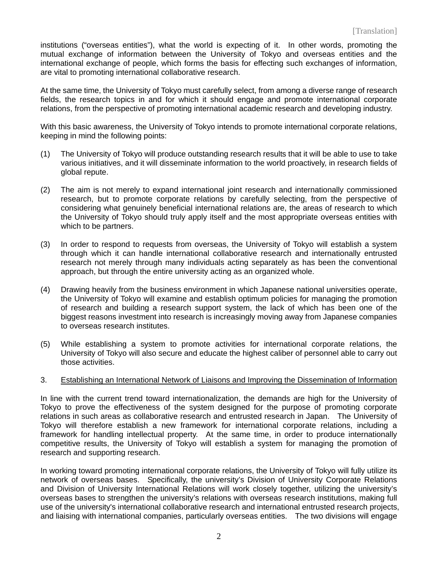institutions ("overseas entities"), what the world is expecting of it. In other words, promoting the mutual exchange of information between the University of Tokyo and overseas entities and the international exchange of people, which forms the basis for effecting such exchanges of information, are vital to promoting international collaborative research.

At the same time, the University of Tokyo must carefully select, from among a diverse range of research fields, the research topics in and for which it should engage and promote international corporate relations, from the perspective of promoting international academic research and developing industry.

With this basic awareness, the University of Tokyo intends to promote international corporate relations, keeping in mind the following points:

- (1) The University of Tokyo will produce outstanding research results that it will be able to use to take various initiatives, and it will disseminate information to the world proactively, in research fields of global repute.
- (2) The aim is not merely to expand international joint research and internationally commissioned research, but to promote corporate relations by carefully selecting, from the perspective of considering what genuinely beneficial international relations are, the areas of research to which the University of Tokyo should truly apply itself and the most appropriate overseas entities with which to be partners.
- (3) In order to respond to requests from overseas, the University of Tokyo will establish a system through which it can handle international collaborative research and internationally entrusted research not merely through many individuals acting separately as has been the conventional approach, but through the entire university acting as an organized whole.
- (4) Drawing heavily from the business environment in which Japanese national universities operate, the University of Tokyo will examine and establish optimum policies for managing the promotion of research and building a research support system, the lack of which has been one of the biggest reasons investment into research is increasingly moving away from Japanese companies to overseas research institutes.
- (5) While establishing a system to promote activities for international corporate relations, the University of Tokyo will also secure and educate the highest caliber of personnel able to carry out those activities.

#### 3. Establishing an International Network of Liaisons and Improving the Dissemination of Information

In line with the current trend toward internationalization, the demands are high for the University of Tokyo to prove the effectiveness of the system designed for the purpose of promoting corporate relations in such areas as collaborative research and entrusted research in Japan. The University of Tokyo will therefore establish a new framework for international corporate relations, including a framework for handling intellectual property. At the same time, in order to produce internationally competitive results, the University of Tokyo will establish a system for managing the promotion of research and supporting research.

In working toward promoting international corporate relations, the University of Tokyo will fully utilize its network of overseas bases. Specifically, the university's Division of University Corporate Relations and Division of University International Relations will work closely together, utilizing the university's overseas bases to strengthen the university's relations with overseas research institutions, making full use of the university's international collaborative research and international entrusted research projects, and liaising with international companies, particularly overseas entities. The two divisions will engage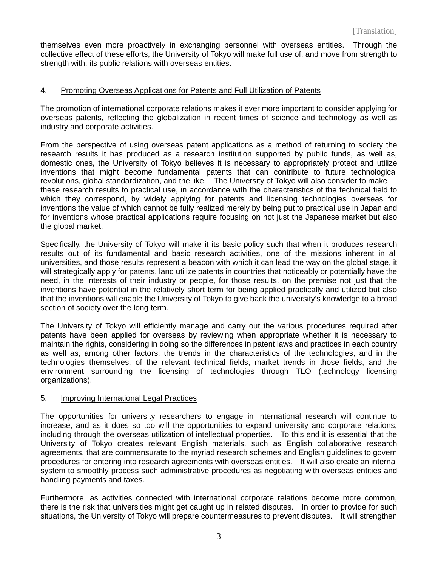themselves even more proactively in exchanging personnel with overseas entities. Through the collective effect of these efforts, the University of Tokyo will make full use of, and move from strength to strength with, its public relations with overseas entities.

## 4. Promoting Overseas Applications for Patents and Full Utilization of Patents

The promotion of international corporate relations makes it ever more important to consider applying for overseas patents, reflecting the globalization in recent times of science and technology as well as industry and corporate activities.

From the perspective of using overseas patent applications as a method of returning to society the research results it has produced as a research institution supported by public funds, as well as, domestic ones, the University of Tokyo believes it is necessary to appropriately protect and utilize inventions that might become fundamental patents that can contribute to future technological revolutions, global standardization, and the like. The University of Tokyo will also consider to make these research results to practical use, in accordance with the characteristics of the technical field to which they correspond, by widely applying for patents and licensing technologies overseas for inventions the value of which cannot be fully realized merely by being put to practical use in Japan and for inventions whose practical applications require focusing on not just the Japanese market but also the global market.

Specifically, the University of Tokyo will make it its basic policy such that when it produces research results out of its fundamental and basic research activities, one of the missions inherent in all universities, and those results represent a beacon with which it can lead the way on the global stage, it will strategically apply for patents, land utilize patents in countries that noticeably or potentially have the need, in the interests of their industry or people, for those results, on the premise not just that the inventions have potential in the relatively short term for being applied practically and utilized but also that the inventions will enable the University of Tokyo to give back the university's knowledge to a broad section of society over the long term.

The University of Tokyo will efficiently manage and carry out the various procedures required after patents have been applied for overseas by reviewing when appropriate whether it is necessary to maintain the rights, considering in doing so the differences in patent laws and practices in each country as well as, among other factors, the trends in the characteristics of the technologies, and in the technologies themselves, of the relevant technical fields, market trends in those fields, and the environment surrounding the licensing of technologies through TLO (technology licensing organizations).

#### 5. Improving International Legal Practices

The opportunities for university researchers to engage in international research will continue to increase, and as it does so too will the opportunities to expand university and corporate relations, including through the overseas utilization of intellectual properties. To this end it is essential that the University of Tokyo creates relevant English materials, such as English collaborative research agreements, that are commensurate to the myriad research schemes and English guidelines to govern procedures for entering into research agreements with overseas entities. It will also create an internal system to smoothly process such administrative procedures as negotiating with overseas entities and handling payments and taxes.

Furthermore, as activities connected with international corporate relations become more common, there is the risk that universities might get caught up in related disputes. In order to provide for such situations, the University of Tokyo will prepare countermeasures to prevent disputes. It will strengthen